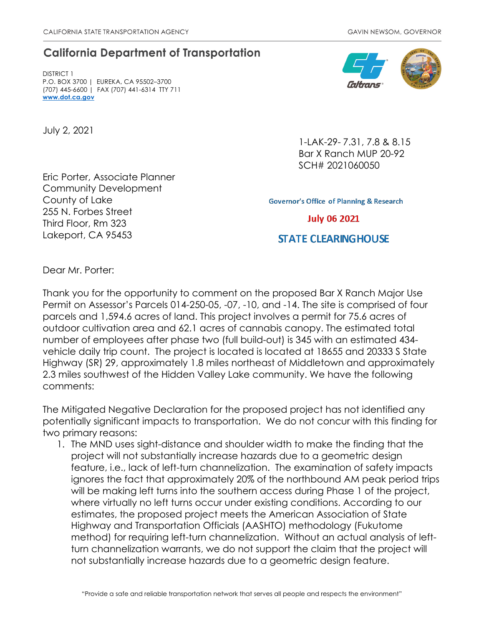## **California Department of Transportation**

DISTRICT 1 P.O. BOX 3700 | EUREKA, CA 95502–3700 (707) 445-6600 | FAX (707) 441-6314 TTY 711 **[www.dot.ca.gov](http://www.dot.ca.gov/)**

July 2, 2021

Eric Porter, Associate Planner Community Development County of Lake 255 N. Forbes Street Third Floor, Rm 323 Lakeport, CA 95453



1-LAK-29- 7.31, 7.8 & 8.15 Bar X Ranch MUP 20-92 SCH# 2021060050

**Governor's Office of Planning & Research** 

**July 06 2021** 

## **STATE CLEARING HOUSE**

Dear Mr. Porter:

Thank you for the opportunity to comment on the proposed Bar X Ranch Major Use Permit on Assessor's Parcels 014-250-05, -07, -10, and -14. The site is comprised of four parcels and 1,594.6 acres of land. This project involves a permit for 75.6 acres of outdoor cultivation area and 62.1 acres of cannabis canopy. The estimated total number of employees after phase two (full build-out) is 345 with an estimated 434 vehicle daily trip count. The project is located is located at 18655 and 20333 S State Highway (SR) 29, approximately 1.8 miles northeast of Middletown and approximately 2.3 miles southwest of the Hidden Valley Lake community. We have the following comments:

The Mitigated Negative Declaration for the proposed project has not identified any potentially significant impacts to transportation. We do not concur with this finding for two primary reasons:

1. The MND uses sight-distance and shoulder width to make the finding that the project will not substantially increase hazards due to a geometric design feature, i.e., lack of left-turn channelization. The examination of safety impacts ignores the fact that approximately 20% of the northbound AM peak period trips will be making left turns into the southern access during Phase 1 of the project, where virtually no left turns occur under existing conditions. According to our estimates, the proposed project meets the American Association of State Highway and Transportation Officials (AASHTO) methodology (Fukutome method) for requiring left-turn channelization. Without an actual analysis of leftturn channelization warrants, we do not support the claim that the project will not substantially increase hazards due to a geometric design feature.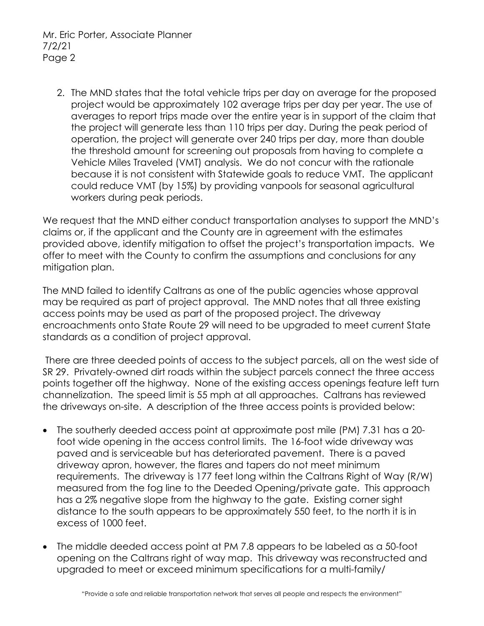Mr. Eric Porter, Associate Planner 7/2/21 Page 2

2. The MND states that the total vehicle trips per day on average for the proposed project would be approximately 102 average trips per day per year. The use of averages to report trips made over the entire year is in support of the claim that the project will generate less than 110 trips per day. During the peak period of operation, the project will generate over 240 trips per day, more than double the threshold amount for screening out proposals from having to complete a Vehicle Miles Traveled (VMT) analysis. We do not concur with the rationale because it is not consistent with Statewide goals to reduce VMT. The applicant could reduce VMT (by 15%) by providing vanpools for seasonal agricultural workers during peak periods.

We request that the MND either conduct transportation analyses to support the MND's claims or, if the applicant and the County are in agreement with the estimates provided above, identify mitigation to offset the project's transportation impacts. We offer to meet with the County to confirm the assumptions and conclusions for any mitigation plan.

The MND failed to identify Caltrans as one of the public agencies whose approval may be required as part of project approval. The MND notes that all three existing access points may be used as part of the proposed project. The driveway encroachments onto State Route 29 will need to be upgraded to meet current State standards as a condition of project approval.

There are three deeded points of access to the subject parcels, all on the west side of SR 29. Privately-owned dirt roads within the subject parcels connect the three access points together off the highway. None of the existing access openings feature left turn channelization. The speed limit is 55 mph at all approaches. Caltrans has reviewed the driveways on-site. A description of the three access points is provided below:

- The southerly deeded access point at approximate post mile (PM) 7.31 has a 20 foot wide opening in the access control limits. The 16-foot wide driveway was paved and is serviceable but has deteriorated pavement. There is a paved driveway apron, however, the flares and tapers do not meet minimum requirements. The driveway is 177 feet long within the Caltrans Right of Way (R/W) measured from the fog line to the Deeded Opening/private gate. This approach has a 2% negative slope from the highway to the gate. Existing corner sight distance to the south appears to be approximately 550 feet, to the north it is in excess of 1000 feet.
- The middle deeded access point at PM 7.8 appears to be labeled as a 50-foot opening on the Caltrans right of way map. This driveway was reconstructed and upgraded to meet or exceed minimum specifications for a multi-family/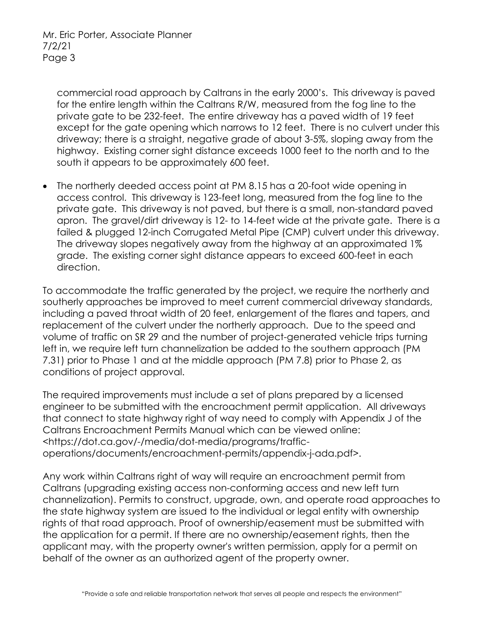commercial road approach by Caltrans in the early 2000's. This driveway is paved for the entire length within the Caltrans R/W, measured from the fog line to the private gate to be 232-feet. The entire driveway has a paved width of 19 feet except for the gate opening which narrows to 12 feet. There is no culvert under this driveway; there is a straight, negative grade of about 3-5%, sloping away from the highway. Existing corner sight distance exceeds 1000 feet to the north and to the south it appears to be approximately 600 feet.

• The northerly deeded access point at PM 8.15 has a 20-foot wide opening in access control. This driveway is 123-feet long, measured from the fog line to the private gate. This driveway is not paved, but there is a small, non-standard paved apron. The gravel/dirt driveway is 12- to 14-feet wide at the private gate. There is a failed & plugged 12-inch Corrugated Metal Pipe (CMP) culvert under this driveway. The driveway slopes negatively away from the highway at an approximated 1% grade. The existing corner sight distance appears to exceed 600-feet in each direction.

To accommodate the traffic generated by the project, we require the northerly and southerly approaches be improved to meet current commercial driveway standards, including a paved throat width of 20 feet, enlargement of the flares and tapers, and replacement of the culvert under the northerly approach. Due to the speed and volume of traffic on SR 29 and the number of project-generated vehicle trips turning left in, we require left turn channelization be added to the southern approach (PM 7.31) prior to Phase 1 and at the middle approach (PM 7.8) prior to Phase 2, as conditions of project approval.

The required improvements must include a set of plans prepared by a licensed engineer to be submitted with the encroachment permit application. All driveways that connect to state highway right of way need to comply with Appendix J of the Caltrans Encroachment Permits Manual which can be viewed online: <https://dot.ca.gov/-/media/dot-media/programs/trafficoperations/documents/encroachment-permits/appendix-j-ada.pdf>.

Any work within Caltrans right of way will require an encroachment permit from Caltrans (upgrading existing access non-conforming access and new left turn channelization). Permits to construct, upgrade, own, and operate road approaches to the state highway system are issued to the individual or legal entity with ownership rights of that road approach. Proof of ownership/easement must be submitted with the application for a permit. If there are no ownership/easement rights, then the applicant may, with the property owner's written permission, apply for a permit on behalf of the owner as an authorized agent of the property owner.